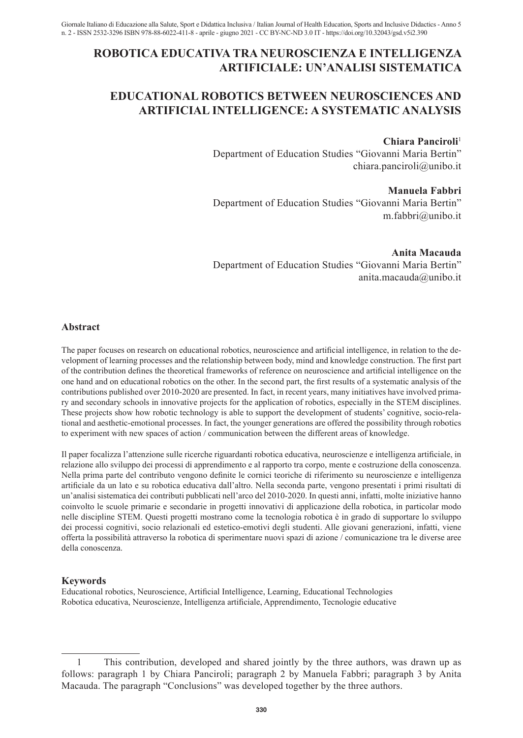## **ROBOTICA EDUCATIVA TRA NEUROSCIENZA E INTELLIGENZA ARTIFICIALE: UN'ANALISI SISTEMATICA**

# **EDUCATIONAL ROBOTICS BETWEEN NEUROSCIENCES AND ARTIFICIAL INTELLIGENCE: A SYSTEMATIC ANALYSIS**

#### **Chiara Panciroli**<sup>1</sup>

Department of Education Studies "Giovanni Maria Bertin" chiara.panciroli@unibo.it

**Manuela Fabbri** Department of Education Studies "Giovanni Maria Bertin" m.fabbri@unibo.it

**Anita Macauda** Department of Education Studies "Giovanni Maria Bertin" anita.macauda@unibo.it

#### **Abstract**

The paper focuses on research on educational robotics, neuroscience and artificial intelligence, in relation to the development of learning processes and the relationship between body, mind and knowledge construction. The first part of the contribution defines the theoretical frameworks of reference on neuroscience and artificial intelligence on the one hand and on educational robotics on the other. In the second part, the first results of a systematic analysis of the contributions published over 2010-2020 are presented. In fact, in recent years, many initiatives have involved primary and secondary schools in innovative projects for the application of robotics, especially in the STEM disciplines. These projects show how robotic technology is able to support the development of students' cognitive, socio-relational and aesthetic-emotional processes. In fact, the younger generations are offered the possibility through robotics to experiment with new spaces of action / communication between the different areas of knowledge.

Il paper focalizza l'attenzione sulle ricerche riguardanti robotica educativa, neuroscienze e intelligenza artificiale, in relazione allo sviluppo dei processi di apprendimento e al rapporto tra corpo, mente e costruzione della conoscenza. Nella prima parte del contributo vengono definite le cornici teoriche di riferimento su neuroscienze e intelligenza artificiale da un lato e su robotica educativa dall'altro. Nella seconda parte, vengono presentati i primi risultati di un'analisi sistematica dei contributi pubblicati nell'arco del 2010-2020. In questi anni, infatti, molte iniziative hanno coinvolto le scuole primarie e secondarie in progetti innovativi di applicazione della robotica, in particolar modo nelle discipline STEM. Questi progetti mostrano come la tecnologia robotica è in grado di supportare lo sviluppo dei processi cognitivi, socio relazionali ed estetico-emotivi degli studenti. Alle giovani generazioni, infatti, viene offerta la possibilità attraverso la robotica di sperimentare nuovi spazi di azione / comunicazione tra le diverse aree della conoscenza.

## **Keywords**

Educational robotics, Neuroscience, Artificial Intelligence, Learning, Educational Technologies Robotica educativa, Neuroscienze, Intelligenza artificiale, Apprendimento, Tecnologie educative

<sup>1</sup> This contribution, developed and shared jointly by the three authors, was drawn up as follows: paragraph 1 by Chiara Panciroli; paragraph 2 by Manuela Fabbri; paragraph 3 by Anita Macauda. The paragraph "Conclusions" was developed together by the three authors.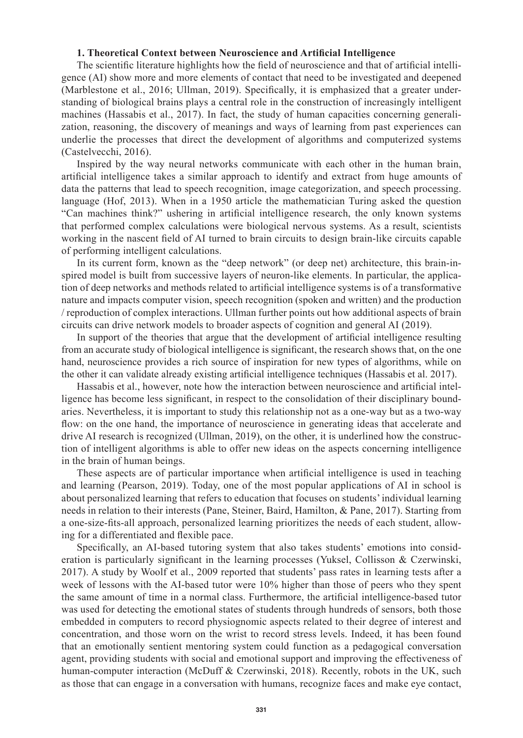#### **1. Theoretical Context between Neuroscience and Artificial Intelligence**

The scientific literature highlights how the field of neuroscience and that of artificial intelligence (AI) show more and more elements of contact that need to be investigated and deepened (Marblestone et al., 2016; Ullman, 2019). Specifically, it is emphasized that a greater understanding of biological brains plays a central role in the construction of increasingly intelligent machines (Hassabis et al., 2017). In fact, the study of human capacities concerning generalization, reasoning, the discovery of meanings and ways of learning from past experiences can underlie the processes that direct the development of algorithms and computerized systems (Castelvecchi, 2016).

Inspired by the way neural networks communicate with each other in the human brain, artificial intelligence takes a similar approach to identify and extract from huge amounts of data the patterns that lead to speech recognition, image categorization, and speech processing. language (Hof, 2013). When in a 1950 article the mathematician Turing asked the question "Can machines think?" ushering in artificial intelligence research, the only known systems that performed complex calculations were biological nervous systems. As a result, scientists working in the nascent field of AI turned to brain circuits to design brain-like circuits capable of performing intelligent calculations.

In its current form, known as the "deep network" (or deep net) architecture, this brain-inspired model is built from successive layers of neuron-like elements. In particular, the application of deep networks and methods related to artificial intelligence systems is of a transformative nature and impacts computer vision, speech recognition (spoken and written) and the production / reproduction of complex interactions. Ullman further points out how additional aspects of brain circuits can drive network models to broader aspects of cognition and general AI (2019).

In support of the theories that argue that the development of artificial intelligence resulting from an accurate study of biological intelligence is significant, the research shows that, on the one hand, neuroscience provides a rich source of inspiration for new types of algorithms, while on the other it can validate already existing artificial intelligence techniques (Hassabis et al. 2017).

Hassabis et al., however, note how the interaction between neuroscience and artificial intelligence has become less significant, in respect to the consolidation of their disciplinary boundaries. Nevertheless, it is important to study this relationship not as a one-way but as a two-way flow: on the one hand, the importance of neuroscience in generating ideas that accelerate and drive AI research is recognized (Ullman, 2019), on the other, it is underlined how the construction of intelligent algorithms is able to offer new ideas on the aspects concerning intelligence in the brain of human beings.

These aspects are of particular importance when artificial intelligence is used in teaching and learning (Pearson, 2019). Today, one of the most popular applications of AI in school is about personalized learning that refers to education that focuses on students' individual learning needs in relation to their interests (Pane, Steiner, Baird, Hamilton, & Pane, 2017). Starting from a one-size-fits-all approach, personalized learning prioritizes the needs of each student, allowing for a differentiated and flexible pace.

Specifically, an AI-based tutoring system that also takes students' emotions into consideration is particularly significant in the learning processes (Yuksel, Collisson & Czerwinski, 2017). A study by Woolf et al., 2009 reported that students' pass rates in learning tests after a week of lessons with the AI-based tutor were 10% higher than those of peers who they spent the same amount of time in a normal class. Furthermore, the artificial intelligence-based tutor was used for detecting the emotional states of students through hundreds of sensors, both those embedded in computers to record physiognomic aspects related to their degree of interest and concentration, and those worn on the wrist to record stress levels. Indeed, it has been found that an emotionally sentient mentoring system could function as a pedagogical conversation agent, providing students with social and emotional support and improving the effectiveness of human-computer interaction (McDuff & Czerwinski, 2018). Recently, robots in the UK, such as those that can engage in a conversation with humans, recognize faces and make eye contact,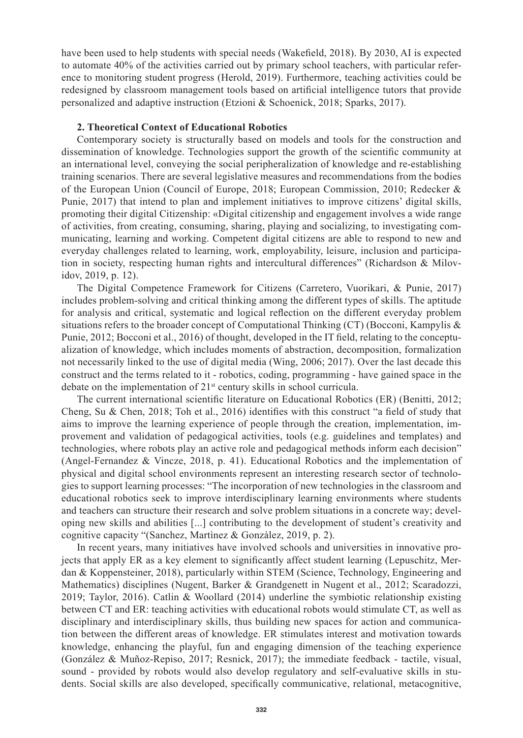have been used to help students with special needs (Wakefield, 2018). By 2030, AI is expected to automate 40% of the activities carried out by primary school teachers, with particular reference to monitoring student progress (Herold, 2019). Furthermore, teaching activities could be redesigned by classroom management tools based on artificial intelligence tutors that provide personalized and adaptive instruction (Etzioni & Schoenick, 2018; Sparks, 2017).

#### **2. Theoretical Context of Educational Robotics**

Contemporary society is structurally based on models and tools for the construction and dissemination of knowledge. Technologies support the growth of the scientific community at an international level, conveying the social peripheralization of knowledge and re-establishing training scenarios. There are several legislative measures and recommendations from the bodies of the European Union (Council of Europe, 2018; European Commission, 2010; Redecker & Punie, 2017) that intend to plan and implement initiatives to improve citizens' digital skills, promoting their digital Citizenship: «Digital citizenship and engagement involves a wide range of activities, from creating, consuming, sharing, playing and socializing, to investigating communicating, learning and working. Competent digital citizens are able to respond to new and everyday challenges related to learning, work, employability, leisure, inclusion and participation in society, respecting human rights and intercultural differences" (Richardson & Milovidov, 2019, p. 12).

The Digital Competence Framework for Citizens (Carretero, Vuorikari, & Punie, 2017) includes problem-solving and critical thinking among the different types of skills. The aptitude for analysis and critical, systematic and logical reflection on the different everyday problem situations refers to the broader concept of Computational Thinking  $(CT)$  (Bocconi, Kampylis  $\&$ Punie, 2012; Bocconi et al., 2016) of thought, developed in the IT field, relating to the conceptualization of knowledge, which includes moments of abstraction, decomposition, formalization not necessarily linked to the use of digital media (Wing, 2006; 2017). Over the last decade this construct and the terms related to it - robotics, coding, programming - have gained space in the debate on the implementation of 21st century skills in school curricula.

The current international scientific literature on Educational Robotics (ER) (Benitti, 2012; Cheng, Su & Chen, 2018; Toh et al., 2016) identifies with this construct "a field of study that aims to improve the learning experience of people through the creation, implementation, improvement and validation of pedagogical activities, tools (e.g. guidelines and templates) and technologies, where robots play an active role and pedagogical methods inform each decision" (Angel-Fernandez & Vincze, 2018, p. 41). Educational Robotics and the implementation of physical and digital school environments represent an interesting research sector of technologies to support learning processes: "The incorporation of new technologies in the classroom and educational robotics seek to improve interdisciplinary learning environments where students and teachers can structure their research and solve problem situations in a concrete way; developing new skills and abilities [...] contributing to the development of student's creativity and cognitive capacity "(Sanchez, Martìnez & Gonzàlez, 2019, p. 2).

In recent years, many initiatives have involved schools and universities in innovative projects that apply ER as a key element to significantly affect student learning (Lepuschitz, Merdan & Koppensteiner, 2018), particularly within STEM (Science, Technology, Engineering and Mathematics) disciplines (Nugent, Barker & Grandgenett in Nugent et al., 2012; Scaradozzi, 2019; Taylor, 2016). Catlin & Woollard (2014) underline the symbiotic relationship existing between CT and ER: teaching activities with educational robots would stimulate CT, as well as disciplinary and interdisciplinary skills, thus building new spaces for action and communication between the different areas of knowledge. ER stimulates interest and motivation towards knowledge, enhancing the playful, fun and engaging dimension of the teaching experience (González & Muñoz-Repiso, 2017; Resnick, 2017); the immediate feedback - tactile, visual, sound - provided by robots would also develop regulatory and self-evaluative skills in students. Social skills are also developed, specifically communicative, relational, metacognitive,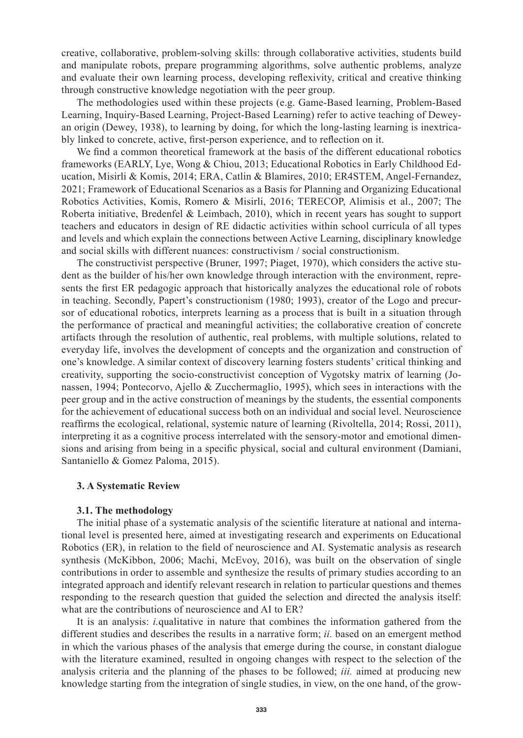creative, collaborative, problem-solving skills: through collaborative activities, students build and manipulate robots, prepare programming algorithms, solve authentic problems, analyze and evaluate their own learning process, developing reflexivity, critical and creative thinking through constructive knowledge negotiation with the peer group.

The methodologies used within these projects (e.g. Game-Based learning, Problem-Based Learning, Inquiry-Based Learning, Project-Based Learning) refer to active teaching of Deweyan origin (Dewey, 1938), to learning by doing, for which the long-lasting learning is inextricably linked to concrete, active, first-person experience, and to reflection on it.

We find a common theoretical framework at the basis of the different educational robotics frameworks (EARLY, Lye, Wong & Chiou, 2013; Educational Robotics in Early Childhood Education, Misirli & Komis, 2014; ERA, Catlin & Blamires, 2010; ER4STEM, Angel-Fernandez, 2021; Framework of Educational Scenarios as a Basis for Planning and Organizing Educational Robotics Activities, Komis, Romero & Misirli, 2016; TERECOP, Alimisis et al., 2007; The Roberta initiative, Bredenfel & Leimbach, 2010), which in recent years has sought to support teachers and educators in design of RE didactic activities within school curricula of all types and levels and which explain the connections between Active Learning, disciplinary knowledge and social skills with different nuances: constructivism / social constructionism.

The constructivist perspective (Bruner, 1997; Piaget, 1970), which considers the active student as the builder of his/her own knowledge through interaction with the environment, represents the first ER pedagogic approach that historically analyzes the educational role of robots in teaching. Secondly, Papert's constructionism (1980; 1993), creator of the Logo and precursor of educational robotics, interprets learning as a process that is built in a situation through the performance of practical and meaningful activities; the collaborative creation of concrete artifacts through the resolution of authentic, real problems, with multiple solutions, related to everyday life, involves the development of concepts and the organization and construction of one's knowledge. A similar context of discovery learning fosters students' critical thinking and creativity, supporting the socio-constructivist conception of Vygotsky matrix of learning (Jonassen, 1994; Pontecorvo, Ajello & Zucchermaglio, 1995), which sees in interactions with the peer group and in the active construction of meanings by the students, the essential components for the achievement of educational success both on an individual and social level. Neuroscience reaffirms the ecological, relational, systemic nature of learning (Rivoltella, 2014; Rossi, 2011), interpreting it as a cognitive process interrelated with the sensory-motor and emotional dimensions and arising from being in a specific physical, social and cultural environment (Damiani, Santaniello & Gomez Paloma, 2015).

#### **3. A Systematic Review**

#### **3.1. The methodology**

The initial phase of a systematic analysis of the scientific literature at national and international level is presented here, aimed at investigating research and experiments on Educational Robotics (ER), in relation to the field of neuroscience and AI. Systematic analysis as research synthesis (McKibbon, 2006; Machi, McEvoy, 2016), was built on the observation of single contributions in order to assemble and synthesize the results of primary studies according to an integrated approach and identify relevant research in relation to particular questions and themes responding to the research question that guided the selection and directed the analysis itself: what are the contributions of neuroscience and AI to ER?

It is an analysis: *i.*qualitative in nature that combines the information gathered from the different studies and describes the results in a narrative form; *ii.* based on an emergent method in which the various phases of the analysis that emerge during the course, in constant dialogue with the literature examined, resulted in ongoing changes with respect to the selection of the analysis criteria and the planning of the phases to be followed; *iii.* aimed at producing new knowledge starting from the integration of single studies, in view, on the one hand, of the grow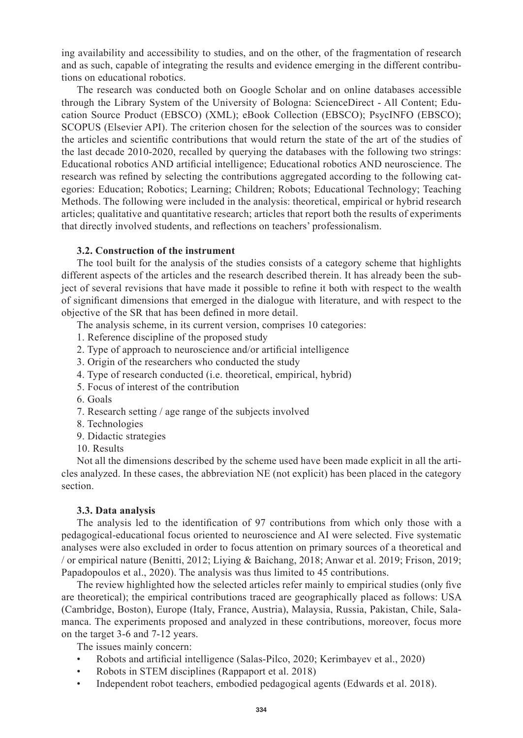ing availability and accessibility to studies, and on the other, of the fragmentation of research and as such, capable of integrating the results and evidence emerging in the different contributions on educational robotics.

The research was conducted both on Google Scholar and on online databases accessible through the Library System of the University of Bologna: ScienceDirect - All Content; Education Source Product (EBSCO) (XML); eBook Collection (EBSCO); PsycINFO (EBSCO); SCOPUS (Elsevier API). The criterion chosen for the selection of the sources was to consider the articles and scientific contributions that would return the state of the art of the studies of the last decade 2010-2020, recalled by querying the databases with the following two strings: Educational robotics AND artificial intelligence; Educational robotics AND neuroscience. The research was refined by selecting the contributions aggregated according to the following categories: Education; Robotics; Learning; Children; Robots; Educational Technology; Teaching Methods. The following were included in the analysis: theoretical, empirical or hybrid research articles; qualitative and quantitative research; articles that report both the results of experiments that directly involved students, and reflections on teachers' professionalism.

#### **3.2. Construction of the instrument**

The tool built for the analysis of the studies consists of a category scheme that highlights different aspects of the articles and the research described therein. It has already been the subject of several revisions that have made it possible to refine it both with respect to the wealth of significant dimensions that emerged in the dialogue with literature, and with respect to the objective of the SR that has been defined in more detail.

The analysis scheme, in its current version, comprises 10 categories:

- 1. Reference discipline of the proposed study
- 2. Type of approach to neuroscience and/or artificial intelligence
- 3. Origin of the researchers who conducted the study
- 4. Type of research conducted (i.e. theoretical, empirical, hybrid)
- 5. Focus of interest of the contribution
- 6. Goals
- 7. Research setting / age range of the subjects involved
- 8. Technologies
- 9. Didactic strategies
- 10. Results

Not all the dimensions described by the scheme used have been made explicit in all the articles analyzed. In these cases, the abbreviation NE (not explicit) has been placed in the category section.

#### **3.3. Data analysis**

The analysis led to the identification of 97 contributions from which only those with a pedagogical-educational focus oriented to neuroscience and AI were selected. Five systematic analyses were also excluded in order to focus attention on primary sources of a theoretical and / or empirical nature (Benitti, 2012; Liying & Baichang, 2018; Anwar et al. 2019; Frison, 2019; Papadopoulos et al., 2020). The analysis was thus limited to 45 contributions.

The review highlighted how the selected articles refer mainly to empirical studies (only five are theoretical); the empirical contributions traced are geographically placed as follows: USA (Cambridge, Boston), Europe (Italy, France, Austria), Malaysia, Russia, Pakistan, Chile, Salamanca. The experiments proposed and analyzed in these contributions, moreover, focus more on the target 3-6 and 7-12 years.

The issues mainly concern:

- Robots and artificial intelligence (Salas-Pilco, 2020; Kerimbayev et al., 2020)
- Robots in STEM disciplines (Rappaport et al. 2018)
- Independent robot teachers, embodied pedagogical agents (Edwards et al. 2018).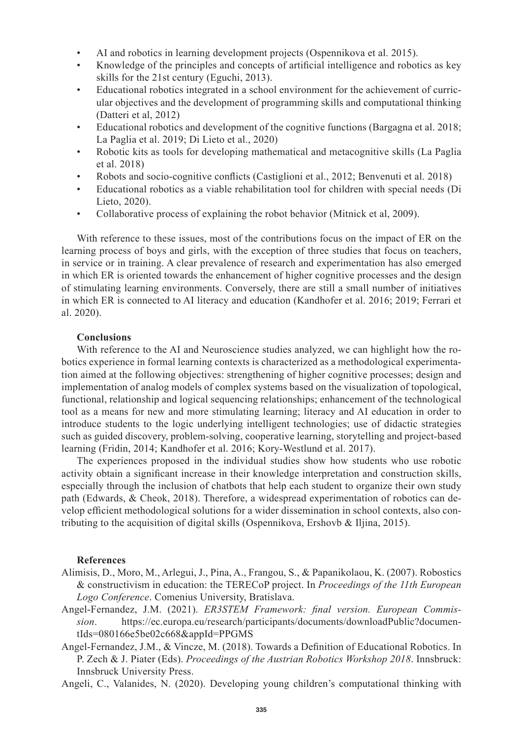- AI and robotics in learning development projects (Ospennikova et al. 2015).
- Knowledge of the principles and concepts of artificial intelligence and robotics as key skills for the 21st century (Eguchi, 2013).
- Educational robotics integrated in a school environment for the achievement of curricular objectives and the development of programming skills and computational thinking (Datteri et al, 2012)
- Educational robotics and development of the cognitive functions (Bargagna et al. 2018; La Paglia et al. 2019; Di Lieto et al., 2020)
- Robotic kits as tools for developing mathematical and metacognitive skills (La Paglia et al. 2018)
- Robots and socio-cognitive conflicts (Castiglioni et al., 2012; Benvenuti et al. 2018)
- Educational robotics as a viable rehabilitation tool for children with special needs (Di Lieto, 2020).
- Collaborative process of explaining the robot behavior (Mitnick et al, 2009).

With reference to these issues, most of the contributions focus on the impact of ER on the learning process of boys and girls, with the exception of three studies that focus on teachers, in service or in training. A clear prevalence of research and experimentation has also emerged in which ER is oriented towards the enhancement of higher cognitive processes and the design of stimulating learning environments. Conversely, there are still a small number of initiatives in which ER is connected to AI literacy and education (Kandhofer et al. 2016; 2019; Ferrari et al. 2020).

### **Conclusions**

With reference to the AI and Neuroscience studies analyzed, we can highlight how the robotics experience in formal learning contexts is characterized as a methodological experimentation aimed at the following objectives: strengthening of higher cognitive processes; design and implementation of analog models of complex systems based on the visualization of topological, functional, relationship and logical sequencing relationships; enhancement of the technological tool as a means for new and more stimulating learning; literacy and AI education in order to introduce students to the logic underlying intelligent technologies; use of didactic strategies such as guided discovery, problem-solving, cooperative learning, storytelling and project-based learning (Fridin, 2014; Kandhofer et al. 2016; Kory-Westlund et al. 2017).

The experiences proposed in the individual studies show how students who use robotic activity obtain a significant increase in their knowledge interpretation and construction skills, especially through the inclusion of chatbots that help each student to organize their own study path (Edwards, & Cheok, 2018). Therefore, a widespread experimentation of robotics can develop efficient methodological solutions for a wider dissemination in school contexts, also contributing to the acquisition of digital skills (Ospennikova, Ershovb & Iljina, 2015).

#### **References**

- Alimisis, D., Moro, M., Arlegui, J., Pina, A., Frangou, S., & Papanikolaou, K. (2007). Robostics & constructivism in education: the TERECoP project. In *Proceedings of the 11th European Logo Conference*. Comenius University, Bratislava.
- Angel-Fernandez, J.M. (2021). *ER3STEM Framework: final version. European Commission*. https://ec.europa.eu/research/participants/documents/downloadPublic?documentIds=080166e5be02c668&appId=PPGMS
- Angel-Fernandez, J.M., & Vincze, M. (2018). Towards a Definition of Educational Robotics. In P. Zech & J. Piater (Eds). *Proceedings of the Austrian Robotics Workshop 2018*. Innsbruck: Innsbruck University Press.
- Angeli, C., Valanides, N. (2020). Developing young children's computational thinking with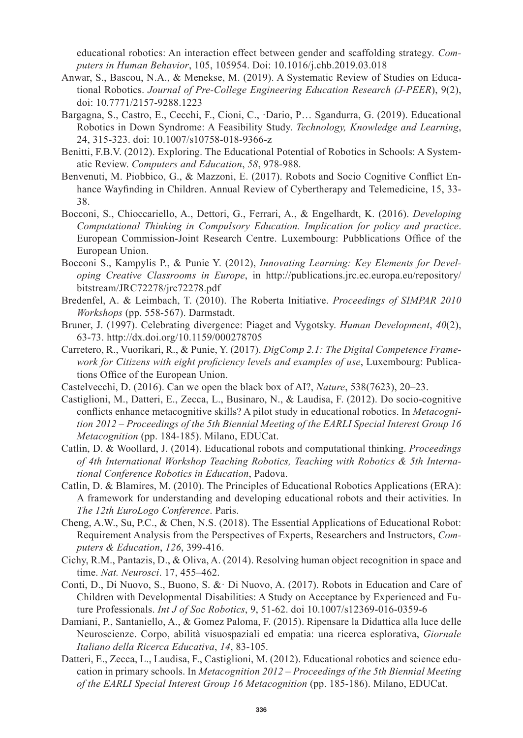educational robotics: An interaction effect between gender and scaffolding strategy*. Computers in Human Behavior*, 105, 105954. Doi: 10.1016/j.chb.2019.03.018

- Anwar, S., Bascou, N.A., & Menekse, M. (2019). A Systematic Review of Studies on Educational Robotics. *Journal of Pre-College Engineering Education Research (J-PEER*), 9(2), doi: 10.7771/2157-9288.1223
- Bargagna, S., Castro, E., Cecchi, F., Cioni, C., ·Dario, P… Sgandurra, G. (2019). Educational Robotics in Down Syndrome: A Feasibility Study. *Technology, Knowledge and Learning*, 24, 315-323. doi: 10.1007/s10758-018-9366-z
- Benitti, F.B.V. (2012). Exploring. The Educational Potential of Robotics in Schools: A Systematic Review. *Computers and Education*, *58*, 978-988.
- Benvenuti, M. Piobbico, G., & Mazzoni, E. (2017). Robots and Socio Cognitive Conflict Enhance Wayfinding in Children. Annual Review of Cybertherapy and Telemedicine, 15, 33- 38.
- Bocconi, S., Chioccariello, A., Dettori, G., Ferrari, A., & Engelhardt, K. (2016). *Developing Computational Thinking in Compulsory Education. Implication for policy and practice*. European Commission-Joint Research Centre. Luxembourg: Pubblications Office of the European Union.
- Bocconi S., Kampylis P., & Punie Y. (2012), *Innovating Learning: Key Elements for Developing Creative Classrooms in Europe*, in http://publications.jrc.ec.europa.eu/repository/ bitstream/JRC72278/jrc72278.pdf
- Bredenfel, A. & Leimbach, T. (2010). The Roberta Initiative. *Proceedings of SIMPAR 2010 Workshops* (pp. 558-567). Darmstadt.
- Bruner, J. (1997). Celebrating divergence: Piaget and Vygotsky. *Human Development*, *40*(2), 63-73. http://dx.doi.org/10.1159/000278705
- Carretero, R., Vuorikari, R., & Punie, Y. (2017). *DigComp 2.1: The Digital Competence Framework for Citizens with eight proficiency levels and examples of use*, Luxembourg: Publications Office of the European Union.
- Castelvecchi, D. (2016). Can we open the black box of AI?, *Nature*, 538(7623), 20–23.
- Castiglioni, M., Datteri, E., Zecca, L., Businaro, N., & Laudisa, F. (2012). Do socio-cognitive conflicts enhance metacognitive skills? A pilot study in educational robotics. In *Metacognition 2012 – Proceedings of the 5th Biennial Meeting of the EARLI Special Interest Group 16 Metacognition* (pp. 184-185). Milano, EDUCat.
- Catlin, D. & Woollard, J. (2014). Educational robots and computational thinking. *Proceedings of 4th International Workshop Teaching Robotics, Teaching with Robotics & 5th International Conference Robotics in Education*, Padova.
- Catlin, D. & Blamires, M. (2010). The Principles of Educational Robotics Applications (ERA): A framework for understanding and developing educational robots and their activities. In *The 12th EuroLogo Conference*. Paris.
- Cheng, A.W., Su, P.C., & Chen, N.S. (2018). The Essential Applications of Educational Robot: Requirement Analysis from the Perspectives of Experts, Researchers and Instructors, *Computers & Education*, *126*, 399-416.
- Cichy, R.M., Pantazis, D., & Oliva, A. (2014). Resolving human object recognition in space and time. *Nat. Neurosci*. 17, 455–462.
- Conti, D., Di Nuovo, S., Buono, S. &· Di Nuovo, A. (2017). Robots in Education and Care of Children with Developmental Disabilities: A Study on Acceptance by Experienced and Future Professionals. *Int J of Soc Robotics*, 9, 51-62. doi 10.1007/s12369-016-0359-6
- Damiani, P., Santaniello, A., & Gomez Paloma, F. (2015). Ripensare la Didattica alla luce delle Neuroscienze. Corpo, abilità visuospaziali ed empatia: una ricerca esplorativa, *Giornale Italiano della Ricerca Educativa*, *14*, 83-105.
- Datteri, E., Zecca, L., Laudisa, F., Castiglioni, M. (2012). Educational robotics and science education in primary schools. In *Metacognition 2012 – Proceedings of the 5th Biennial Meeting of the EARLI Special Interest Group 16 Metacognition* (pp. 185-186). Milano, EDUCat.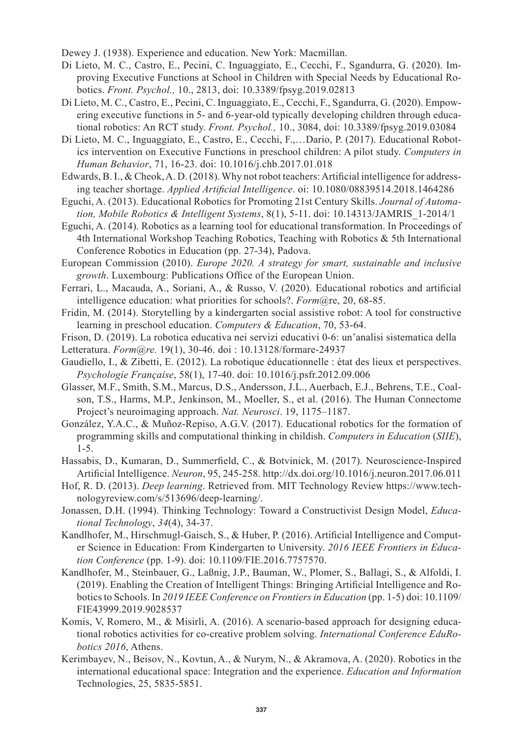Dewey J. (1938). Experience and education. New York: Macmillan.

- Di Lieto, M. C., Castro, E., Pecini, C. Inguaggiato, E., Cecchi, F., Sgandurra, G. (2020). Improving Executive Functions at School in Children with Special Needs by Educational Robotics. *Front. Psychol.,* 10., 2813, doi: 10.3389/fpsyg.2019.02813
- Di Lieto, M. C., Castro, E., Pecini, C. Inguaggiato, E., Cecchi, F., Sgandurra, G. (2020). Empowering executive functions in 5- and 6-year-old typically developing children through educational robotics: An RCT study. *Front. Psychol.,* 10., 3084, doi: 10.3389/fpsyg.2019.03084
- Di Lieto, M. C., Inguaggiato, E., Castro, E., Cecchi, F.,…Dario, P. (2017). Educational Robotics intervention on Executive Functions in preschool children: A pilot study. *Computers in Human Behavior*, 71, 16-23. doi: 10.1016/j.chb.2017.01.018
- Edwards, B. I., & Cheok, A. D. (2018). Why not robot teachers: Artificial intelligence for addressing teacher shortage. *Applied Artificial Intelligence*. oi: 10.1080/08839514.2018.1464286
- Eguchi, A. (2013). Educational Robotics for Promoting 21st Century Skills. *Journal of Automation, Mobile Robotics & Intelligent Systems*, 8(1), 5-11. doi: 10.14313/JAMRIS\_1-2014/1
- Eguchi, A. (2014). Robotics as a learning tool for educational transformation. In Proceedings of 4th International Workshop Teaching Robotics, Teaching with Robotics & 5th International Conference Robotics in Education (pp. 27-34), Padova.
- European Commission (2010). *Europe 2020. A strategy for smart, sustainable and inclusive growth*. Luxembourg: Publications Office of the European Union.
- Ferrari, L., Macauda, A., Soriani, A., & Russo, V. (2020). Educational robotics and artificial intelligence education: what priorities for schools?. *Form*@re, 20, 68-85.
- Fridin, M. (2014). Storytelling by a kindergarten social assistive robot: A tool for constructive learning in preschool education. *Computers & Education*, 70, 53-64.
- Frison, D. (2019). La robotica educativa nei servizi educativi 0-6: un'analisi sistematica della
- Letteratura. *Form@re.* 19(1), 30-46. doi : 10.13128/formare-24937
- Gaudiello, I., & Zibetti, E. (2012). La robotique éducationnelle : état des lieux et perspectives. *Psychologie Française*, 58(1), 17-40. doi: 10.1016/j.psfr.2012.09.006
- Glasser, M.F., Smith, S.M., Marcus, D.S., Andersson, J.L., Auerbach, E.J., Behrens, T.E., Coalson, T.S., Harms, M.P., Jenkinson, M., Moeller, S., et al. (2016). The Human Connectome Project's neuroimaging approach. *Nat. Neurosci*. 19, 1175–1187.
- González, Y.A.C., & Muñoz-Repiso, A.G.V. (2017). Educational robotics for the formation of programming skills and computational thinking in childish. *Computers in Education* (*SIIE*), 1-5.
- Hassabis, D., Kumaran, D., Summerfield, C., & Botvinick, M. (2017). Neuroscience-Inspired Artificial Intelligence. *Neuron*, 95, 245-258. http://dx.doi.org/10.1016/j.neuron.2017.06.011
- Hof, R. D. (2013). *Deep learning*. Retrieved from. MIT Technology Review https://www.technologyreview.com/s/513696/deep-learning/.
- Jonassen, D.H. (1994). Thinking Technology: Toward a Constructivist Design Model, *Educational Technology*, *34*(4), 34-37.
- Kandlhofer, M., Hirschmugl-Gaisch, S., & Huber, P. (2016). Artificial Intelligence and Computer Science in Education: From Kindergarten to University. *2016 IEEE Frontiers in Education Conference* (pp. 1-9). doi: 10.1109/FIE.2016.7757570.
- Kandlhofer, M., Steinbauer, G., Laßnig, J.P., Bauman, W., Plomer, S., Ballagi, S., & Alfoldi, I. (2019). Enabling the Creation of Intelligent Things: Bringing Artificial Intelligence and Roboticsto Schools. In *2019 IEEE Conference on Frontiers in Education* (pp. 1-5) doi: 10.1109/ FIE43999.2019.9028537
- Komis, V, Romero, M., & Misirli, A. (2016). A scenario-based approach for designing educational robotics activities for co-creative problem solving. *International Conference EduRobotics 2016*, Athens.
- Kerimbayev, N., Beisov, N., Kovtun, A., & Nurym, N., & Akramova, A. (2020). Robotics in the international educational space: Integration and the experience. *Education and Information*  Technologies, 25, 5835-5851.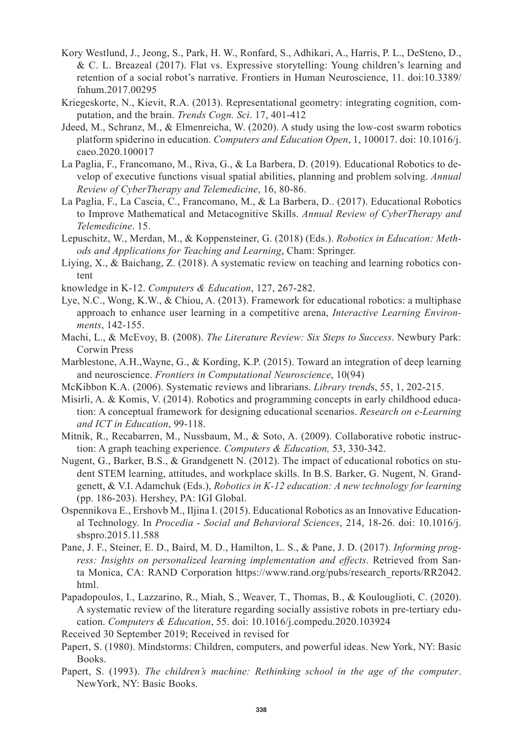- Kory Westlund, J., Jeong, S., Park, H. W., Ronfard, S., Adhikari, A., Harris, P. L., DeSteno, D., & C. L. Breazeal (2017). Flat vs. Expressive storytelling: Young children's learning and retention of a social robot's narrative. Frontiers in Human Neuroscience, 11. doi:10.3389/ fnhum.2017.00295
- Kriegeskorte, N., Kievit, R.A. (2013). Representational geometry: integrating cognition, computation, and the brain. *Trends Cogn. Sci*. 17, 401-412
- Jdeed, M., Schranz, M., & Elmenreicha, W. (2020). A study using the low-cost swarm robotics platform spiderino in education. *Computers and Education Open*, 1, 100017. doi: 10.1016/j. caeo.2020.100017
- La Paglia, F., Francomano, M., Riva, G., & La Barbera, D. (2019). Educational Robotics to develop of executive functions visual spatial abilities, planning and problem solving. *Annual Review of CyberTherapy and Telemedicine*, 16, 80-86.
- La Paglia, F., La Cascia, C., Francomano, M., & La Barbera, D.. (2017). Educational Robotics to Improve Mathematical and Metacognitive Skills. *Annual Review of CyberTherapy and Telemedicine*. 15.
- Lepuschitz, W., Merdan, M., & Koppensteiner, G. (2018) (Eds.). *Robotics in Education: Methods and Applications for Teaching and Learning*, Cham: Springer.
- Liying, X., & Baichang, Z. (2018). A systematic review on teaching and learning robotics content
- knowledge in K-12. *Computers & Education*, 127, 267-282.
- Lye, N.C., Wong, K.W., & Chiou, A. (2013). Framework for educational robotics: a multiphase approach to enhance user learning in a competitive arena, *Interactive Learning Environments*, 142-155.
- Machi, L., & McEvoy, B. (2008). *The Literature Review: Six Steps to Success*. Newbury Park: Corwin Press
- Marblestone, A.H.,Wayne, G., & Kording, K.P. (2015). Toward an integration of deep learning and neuroscience. *Frontiers in Computational Neuroscience*, 10(94)
- McKibbon K.A. (2006). Systematic reviews and librarians. *Library trend*s, 55, 1, 202-215.
- Misirli, A. & Komis, V. (2014). Robotics and programming concepts in early childhood education: A conceptual framework for designing educational scenarios. *Research on e-Learning and ICT in Education*, 99-118.
- Mitnik, R., Recabarren, M., Nussbaum, M., & Soto, A. (2009). Collaborative robotic instruction: A graph teaching experience. *Computers & Education,* 53, 330-342.
- Nugent, G., Barker, B.S., & Grandgenett N. (2012). The impact of educational robotics on student STEM learning, attitudes, and workplace skills. In B.S. Barker, G. Nugent, N. Grandgenett, & V.I. Adamchuk (Eds.), *Robotics in K-12 education: A new technology for learning* (pp. 186-203). Hershey, PA: IGI Global.
- Ospennikova E., Ershovb M., Iljina I. (2015). Educational Robotics as an Innovative Educational Technology. In *Procedia - Social and Behavioral Sciences*, 214, 18-26. doi: 10.1016/j. sbspro.2015.11.588
- Pane, J. F., Steiner, E. D., Baird, M. D., Hamilton, L. S., & Pane, J. D. (2017). *Informing progress: Insights on personalized learning implementation and effects*. Retrieved from Santa Monica, CA: RAND Corporation https://www.rand.org/pubs/research\_reports/RR2042. html.
- Papadopoulos, I., Lazzarino, R., Miah, S., Weaver, T., Thomas, B., & Koulouglioti, C. (2020). A systematic review of the literature regarding socially assistive robots in pre-tertiary education. *Computers & Education*, 55. doi: 10.1016/j.compedu.2020.103924
- Received 30 September 2019; Received in revised for
- Papert, S. (1980). Mindstorms: Children, computers, and powerful ideas. New York, NY: Basic Books.
- Papert, S. (1993). *The children's machine: Rethinking school in the age of the computer*. NewYork, NY: Basic Books.